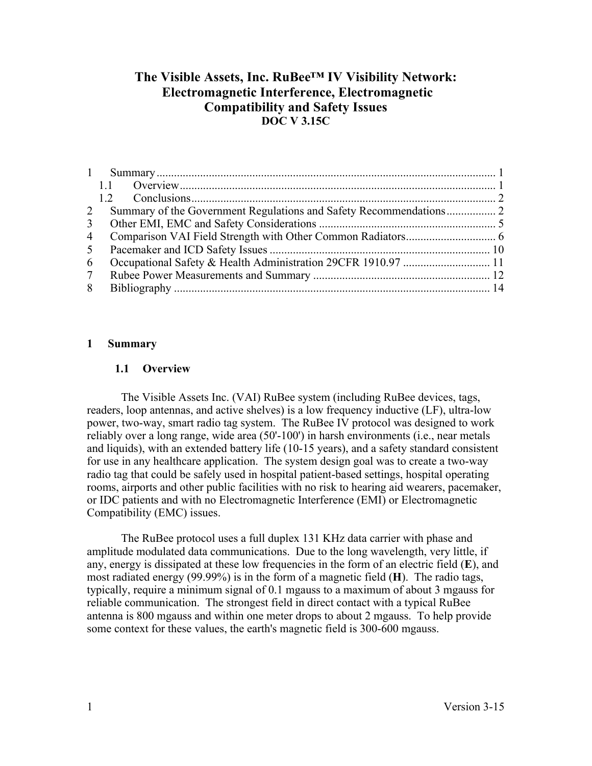# **The Visible Assets, Inc. RuBee™ IV Visibility Network: Electromagnetic Interference, Electromagnetic Compatibility and Safety Issues DOC V 3.15C**

| 2              |  |
|----------------|--|
| 3 <sup>1</sup> |  |
| 4              |  |
| 5              |  |
| 6              |  |
| $7\degree$     |  |
| 8              |  |

# **1 Summary**

# **1.1 Overview**

The Visible Assets Inc. (VAI) RuBee system (including RuBee devices, tags, readers, loop antennas, and active shelves) is a low frequency inductive (LF), ultra-low power, two-way, smart radio tag system. The RuBee IV protocol was designed to work reliably over a long range, wide area (50'-100') in harsh environments (i.e., near metals and liquids), with an extended battery life (10-15 years), and a safety standard consistent for use in any healthcare application. The system design goal was to create a two-way radio tag that could be safely used in hospital patient-based settings, hospital operating rooms, airports and other public facilities with no risk to hearing aid wearers, pacemaker, or IDC patients and with no Electromagnetic Interference (EMI) or Electromagnetic Compatibility (EMC) issues.

The RuBee protocol uses a full duplex 131 KHz data carrier with phase and amplitude modulated data communications. Due to the long wavelength, very little, if any, energy is dissipated at these low frequencies in the form of an electric field (**E**), and most radiated energy (99.99%) is in the form of a magnetic field (**H**). The radio tags, typically, require a minimum signal of 0.1 mgauss to a maximum of about 3 mgauss for reliable communication. The strongest field in direct contact with a typical RuBee antenna is 800 mgauss and within one meter drops to about 2 mgauss. To help provide some context for these values, the earth's magnetic field is 300-600 mgauss.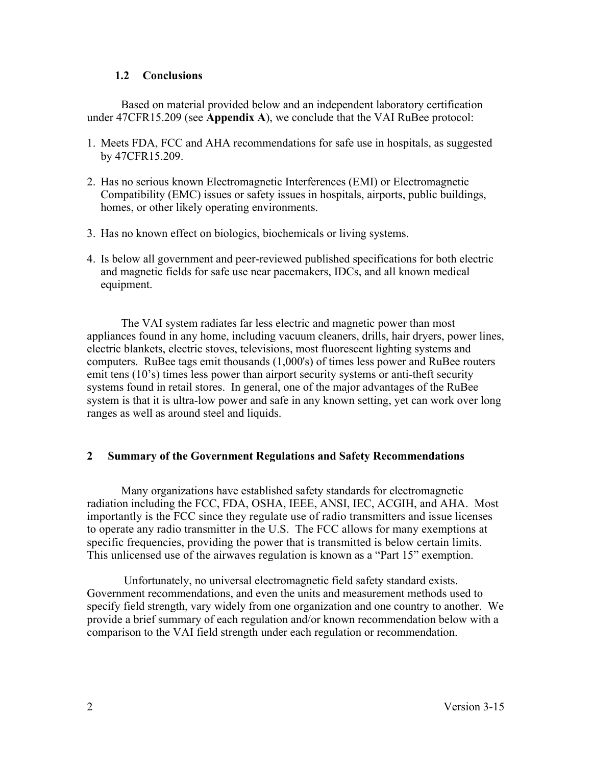# **1.2 Conclusions**

Based on material provided below and an independent laboratory certification under 47CFR15.209 (see **Appendix A**), we conclude that the VAI RuBee protocol:

- 1. Meets FDA, FCC and AHA recommendations for safe use in hospitals, as suggested by 47CFR15.209.
- 2. Has no serious known Electromagnetic Interferences (EMI) or Electromagnetic Compatibility (EMC) issues or safety issues in hospitals, airports, public buildings, homes, or other likely operating environments.
- 3. Has no known effect on biologics, biochemicals or living systems.
- 4. Is below all government and peer-reviewed published specifications for both electric and magnetic fields for safe use near pacemakers, IDCs, and all known medical equipment.

The VAI system radiates far less electric and magnetic power than most appliances found in any home, including vacuum cleaners, drills, hair dryers, power lines, electric blankets, electric stoves, televisions, most fluorescent lighting systems and computers. RuBee tags emit thousands (1,000's) of times less power and RuBee routers emit tens (10's) times less power than airport security systems or anti-theft security systems found in retail stores. In general, one of the major advantages of the RuBee system is that it is ultra-low power and safe in any known setting, yet can work over long ranges as well as around steel and liquids.

# **2 Summary of the Government Regulations and Safety Recommendations**

Many organizations have established safety standards for electromagnetic radiation including the FCC, FDA, OSHA, IEEE, ANSI, IEC, ACGIH, and AHA. Most importantly is the FCC since they regulate use of radio transmitters and issue licenses to operate any radio transmitter in the U.S. The FCC allows for many exemptions at specific frequencies, providing the power that is transmitted is below certain limits. This unlicensed use of the airwaves regulation is known as a "Part 15" exemption.

Unfortunately, no universal electromagnetic field safety standard exists. Government recommendations, and even the units and measurement methods used to specify field strength, vary widely from one organization and one country to another. We provide a brief summary of each regulation and/or known recommendation below with a comparison to the VAI field strength under each regulation or recommendation.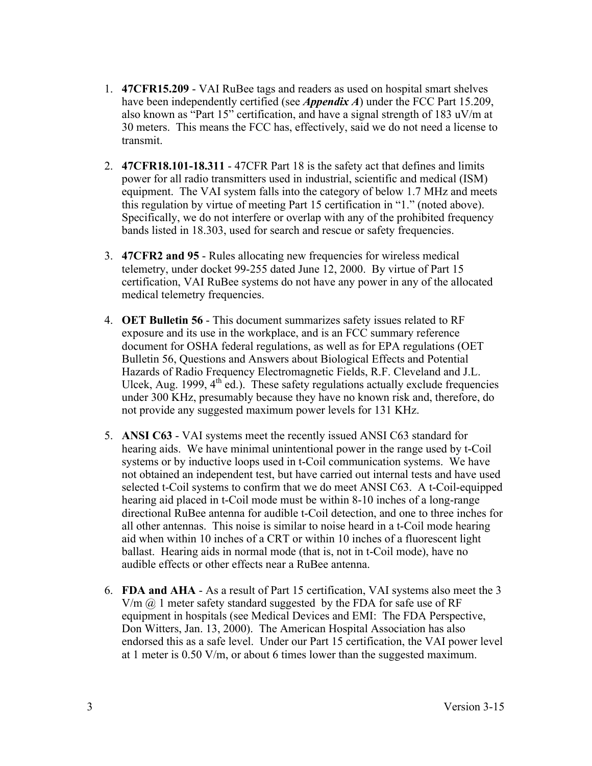- 1. **47CFR15.209** VAI RuBee tags and readers as used on hospital smart shelves have been independently certified (see *Appendix A*) under the FCC Part 15.209, also known as "Part 15" certification, and have a signal strength of 183 uV/m at 30 meters. This means the FCC has, effectively, said we do not need a license to transmit.
- 2. **47CFR18.101-18.311**  47CFR Part 18 is the safety act that defines and limits power for all radio transmitters used in industrial, scientific and medical (ISM) equipment. The VAI system falls into the category of below 1.7 MHz and meets this regulation by virtue of meeting Part 15 certification in "1." (noted above). Specifically, we do not interfere or overlap with any of the prohibited frequency bands listed in 18.303, used for search and rescue or safety frequencies.
- 3. **47CFR2 and 95** Rules allocating new frequencies for wireless medical telemetry, under docket 99-255 dated June 12, 2000. By virtue of Part 15 certification, VAI RuBee systems do not have any power in any of the allocated medical telemetry frequencies.
- 4. **OET Bulletin 56** This document summarizes safety issues related to RF exposure and its use in the workplace, and is an FCC summary reference document for OSHA federal regulations, as well as for EPA regulations (OET Bulletin 56, Questions and Answers about Biological Effects and Potential Hazards of Radio Frequency Electromagnetic Fields, R.F. Cleveland and J.L. Ulcek, Aug. 1999,  $4<sup>th</sup>$  ed.). These safety regulations actually exclude frequencies under 300 KHz, presumably because they have no known risk and, therefore, do not provide any suggested maximum power levels for 131 KHz.
- 5. **ANSI C63** VAI systems meet the recently issued ANSI C63 standard for hearing aids. We have minimal unintentional power in the range used by t-Coil systems or by inductive loops used in t-Coil communication systems. We have not obtained an independent test, but have carried out internal tests and have used selected t-Coil systems to confirm that we do meet ANSI C63. A t-Coil-equipped hearing aid placed in t-Coil mode must be within 8-10 inches of a long-range directional RuBee antenna for audible t-Coil detection, and one to three inches for all other antennas. This noise is similar to noise heard in a t-Coil mode hearing aid when within 10 inches of a CRT or within 10 inches of a fluorescent light ballast. Hearing aids in normal mode (that is, not in t-Coil mode), have no audible effects or other effects near a RuBee antenna.
- 6. **FDA and AHA** As a result of Part 15 certification, VAI systems also meet the 3  $V/m$   $\omega$  1 meter safety standard suggested by the FDA for safe use of RF equipment in hospitals (see Medical Devices and EMI: The FDA Perspective, Don Witters, Jan. 13, 2000). The American Hospital Association has also endorsed this as a safe level. Under our Part 15 certification, the VAI power level at 1 meter is 0.50 V/m, or about 6 times lower than the suggested maximum.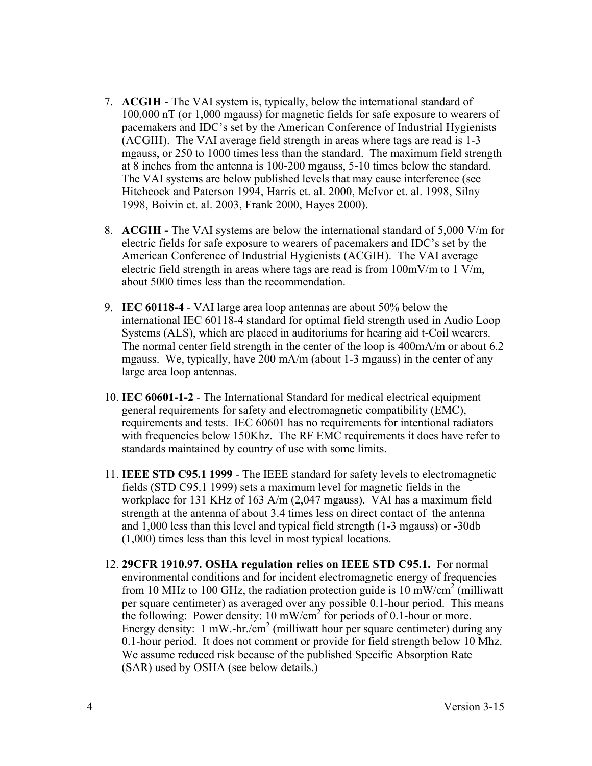- 7. **ACGIH** The VAI system is, typically, below the international standard of 100,000 nT (or 1,000 mgauss) for magnetic fields for safe exposure to wearers of pacemakers and IDC's set by the American Conference of Industrial Hygienists (ACGIH). The VAI average field strength in areas where tags are read is 1-3 mgauss, or 250 to 1000 times less than the standard. The maximum field strength at 8 inches from the antenna is 100-200 mgauss, 5-10 times below the standard. The VAI systems are below published levels that may cause interference (see Hitchcock and Paterson 1994, Harris et. al. 2000, McIvor et. al. 1998, Silny 1998, Boivin et. al. 2003, Frank 2000, Hayes 2000).
- 8. **ACGIH -** The VAI systems are below the international standard of 5,000 V/m for electric fields for safe exposure to wearers of pacemakers and IDC's set by the American Conference of Industrial Hygienists (ACGIH). The VAI average electric field strength in areas where tags are read is from  $100 \text{mV/m}$  to  $1 \text{V/m}$ , about 5000 times less than the recommendation.
- 9. **IEC 60118-4** VAI large area loop antennas are about 50% below the international IEC 60118-4 standard for optimal field strength used in Audio Loop Systems (ALS), which are placed in auditoriums for hearing aid t-Coil wearers. The normal center field strength in the center of the loop is 400mA/m or about 6.2 mgauss. We, typically, have 200 mA/m (about 1-3 mgauss) in the center of any large area loop antennas.
- 10. **IEC 60601-1-2**  The International Standard for medical electrical equipment general requirements for safety and electromagnetic compatibility (EMC), requirements and tests. IEC 60601 has no requirements for intentional radiators with frequencies below 150Khz. The RF EMC requirements it does have refer to standards maintained by country of use with some limits.
- 11. **IEEE STD C95.1 1999** The IEEE standard for safety levels to electromagnetic fields (STD C95.1 1999) sets a maximum level for magnetic fields in the workplace for 131 KHz of 163 A/m (2,047 mgauss). VAI has a maximum field strength at the antenna of about 3.4 times less on direct contact of the antenna and 1,000 less than this level and typical field strength (1-3 mgauss) or -30db (1,000) times less than this level in most typical locations.
- 12. **29CFR 1910.97. OSHA regulation relies on IEEE STD C95.1.** For normal environmental conditions and for incident electromagnetic energy of frequencies from 10 MHz to 100 GHz, the radiation protection guide is 10 mW/cm<sup>2</sup> (milliwatt) per square centimeter) as averaged over any possible 0.1-hour period. This means the following: Power density: 10 mW/cm<sup>2</sup> for periods of 0.1-hour or more. Energy density: 1 mW.-hr./cm<sup>2</sup> (milliwatt hour per square centimeter) during any 0.1-hour period. It does not comment or provide for field strength below 10 Mhz. We assume reduced risk because of the published Specific Absorption Rate (SAR) used by OSHA (see below details.)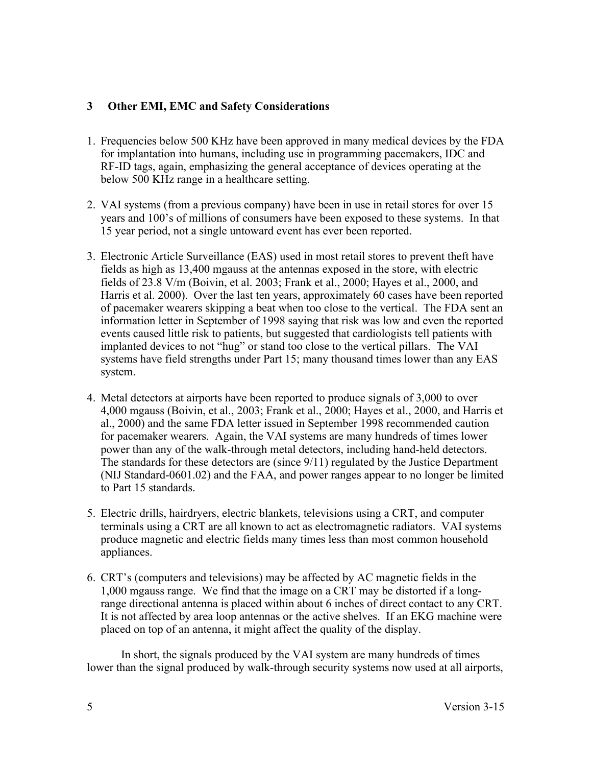# **3 Other EMI, EMC and Safety Considerations**

- 1. Frequencies below 500 KHz have been approved in many medical devices by the FDA for implantation into humans, including use in programming pacemakers, IDC and RF-ID tags, again, emphasizing the general acceptance of devices operating at the below 500 KHz range in a healthcare setting.
- 2. VAI systems (from a previous company) have been in use in retail stores for over 15 years and 100's of millions of consumers have been exposed to these systems. In that 15 year period, not a single untoward event has ever been reported.
- 3. Electronic Article Surveillance (EAS) used in most retail stores to prevent theft have fields as high as 13,400 mgauss at the antennas exposed in the store, with electric fields of 23.8 V/m (Boivin, et al. 2003; Frank et al., 2000; Hayes et al., 2000, and Harris et al. 2000). Over the last ten years, approximately 60 cases have been reported of pacemaker wearers skipping a beat when too close to the vertical. The FDA sent an information letter in September of 1998 saying that risk was low and even the reported events caused little risk to patients, but suggested that cardiologists tell patients with implanted devices to not "hug" or stand too close to the vertical pillars. The VAI systems have field strengths under Part 15; many thousand times lower than any EAS system.
- 4. Metal detectors at airports have been reported to produce signals of 3,000 to over 4,000 mgauss (Boivin, et al., 2003; Frank et al., 2000; Hayes et al., 2000, and Harris et al., 2000) and the same FDA letter issued in September 1998 recommended caution for pacemaker wearers. Again, the VAI systems are many hundreds of times lower power than any of the walk-through metal detectors, including hand-held detectors. The standards for these detectors are (since 9/11) regulated by the Justice Department (NIJ Standard-0601.02) and the FAA, and power ranges appear to no longer be limited to Part 15 standards.
- 5. Electric drills, hairdryers, electric blankets, televisions using a CRT, and computer terminals using a CRT are all known to act as electromagnetic radiators. VAI systems produce magnetic and electric fields many times less than most common household appliances.
- 6. CRT's (computers and televisions) may be affected by AC magnetic fields in the 1,000 mgauss range. We find that the image on a CRT may be distorted if a longrange directional antenna is placed within about 6 inches of direct contact to any CRT. It is not affected by area loop antennas or the active shelves. If an EKG machine were placed on top of an antenna, it might affect the quality of the display.

In short, the signals produced by the VAI system are many hundreds of times lower than the signal produced by walk-through security systems now used at all airports,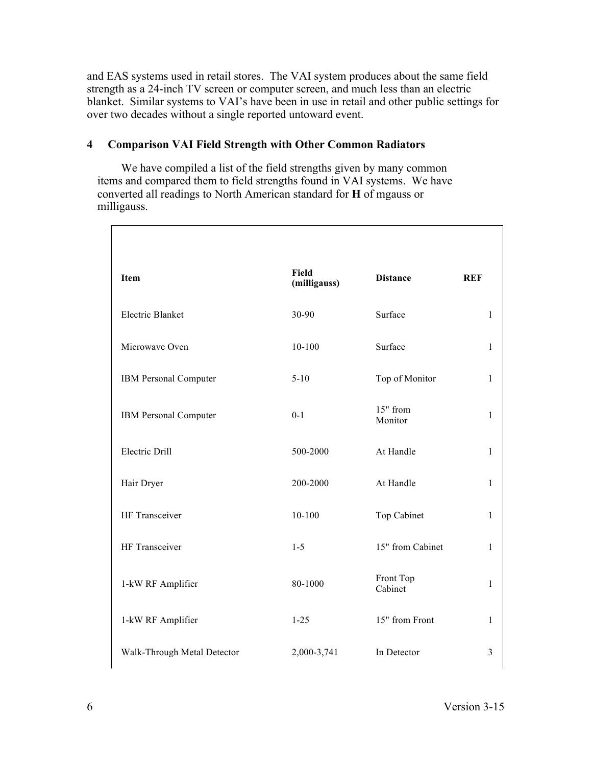and EAS systems used in retail stores. The VAI system produces about the same field strength as a 24-inch TV screen or computer screen, and much less than an electric blanket. Similar systems to VAI's have been in use in retail and other public settings for over two decades without a single reported untoward event.

# **4 Comparison VAI Field Strength with Other Common Radiators**

We have compiled a list of the field strengths given by many common items and compared them to field strengths found in VAI systems. We have converted all readings to North American standard for **H** of mgauss or milligauss.

| Item                        | Field<br>(milligauss) | <b>Distance</b>      | <b>REF</b>     |
|-----------------------------|-----------------------|----------------------|----------------|
| <b>Electric Blanket</b>     | 30-90                 | Surface              | $\mathbf{1}$   |
| Microwave Oven              | $10 - 100$            | Surface              | $\mathbf{1}$   |
| IBM Personal Computer       | $5 - 10$              | Top of Monitor       | $\mathbf{1}$   |
| IBM Personal Computer       | $0 - 1$               | 15" from<br>Monitor  | $\mathbf{1}$   |
| <b>Electric Drill</b>       | 500-2000              | At Handle            | $\mathbf{1}$   |
| Hair Dryer                  | 200-2000              | At Handle            | $\mathbf{1}$   |
| HF Transceiver              | $10 - 100$            | Top Cabinet          | $\mathbf{1}$   |
| HF Transceiver              | $1 - 5$               | 15" from Cabinet     | $\mathbf{1}$   |
| 1-kW RF Amplifier           | 80-1000               | Front Top<br>Cabinet | $\mathbf{1}$   |
| 1-kW RF Amplifier           | $1 - 25$              | 15" from Front       | 1              |
| Walk-Through Metal Detector | 2,000-3,741           | In Detector          | $\overline{3}$ |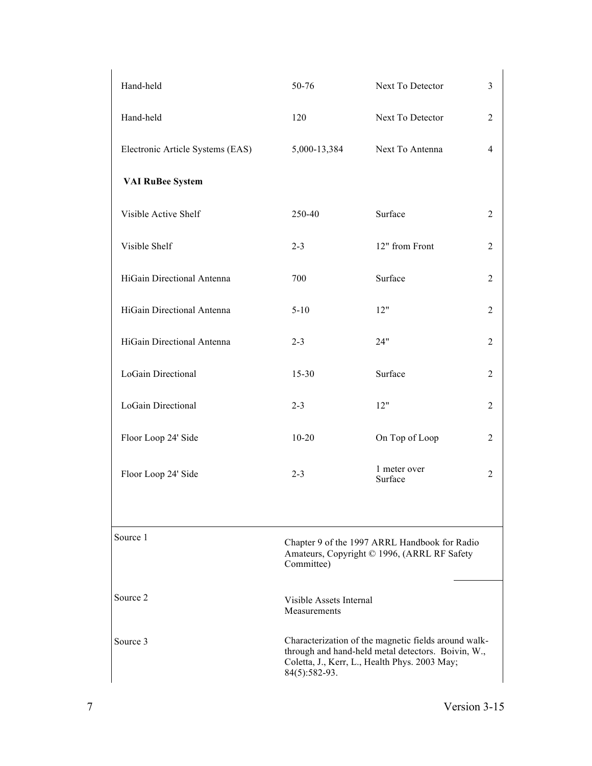| Hand-held                        | 50-76                                                                                                                                                                        | Next To Detector        |                |  |
|----------------------------------|------------------------------------------------------------------------------------------------------------------------------------------------------------------------------|-------------------------|----------------|--|
| Hand-held                        | 120                                                                                                                                                                          | Next To Detector        | $\overline{2}$ |  |
| Electronic Article Systems (EAS) | 5,000-13,384                                                                                                                                                                 | Next To Antenna         | $\overline{4}$ |  |
| <b>VAI RuBee System</b>          |                                                                                                                                                                              |                         |                |  |
| Visible Active Shelf             | 250-40                                                                                                                                                                       | Surface                 | $\overline{2}$ |  |
| Visible Shelf                    | $2 - 3$                                                                                                                                                                      | 12" from Front          | $\overline{2}$ |  |
| HiGain Directional Antenna       | 700                                                                                                                                                                          | Surface                 | 2              |  |
| HiGain Directional Antenna       | $5 - 10$                                                                                                                                                                     | 12"                     | $\overline{2}$ |  |
| HiGain Directional Antenna       | $2 - 3$                                                                                                                                                                      | 24"                     | $\overline{2}$ |  |
| LoGain Directional               | 15-30                                                                                                                                                                        | Surface                 | $\overline{2}$ |  |
| LoGain Directional               | $2 - 3$                                                                                                                                                                      | 12"                     | $\overline{2}$ |  |
| Floor Loop 24' Side              | $10 - 20$                                                                                                                                                                    | On Top of Loop          | $\overline{2}$ |  |
| Floor Loop 24' Side              | $2 - 3$                                                                                                                                                                      | 1 meter over<br>Surface | $\overline{2}$ |  |
| Source 1                         | Chapter 9 of the 1997 ARRL Handbook for Radio<br>Amateurs, Copyright © 1996, (ARRL RF Safety<br>Committee)                                                                   |                         |                |  |
| Source 2                         | Visible Assets Internal<br>Measurements                                                                                                                                      |                         |                |  |
| Source 3                         | Characterization of the magnetic fields around walk-<br>through and hand-held metal detectors. Boivin, W.,<br>Coletta, J., Kerr, L., Health Phys. 2003 May;<br>84(5):582-93. |                         |                |  |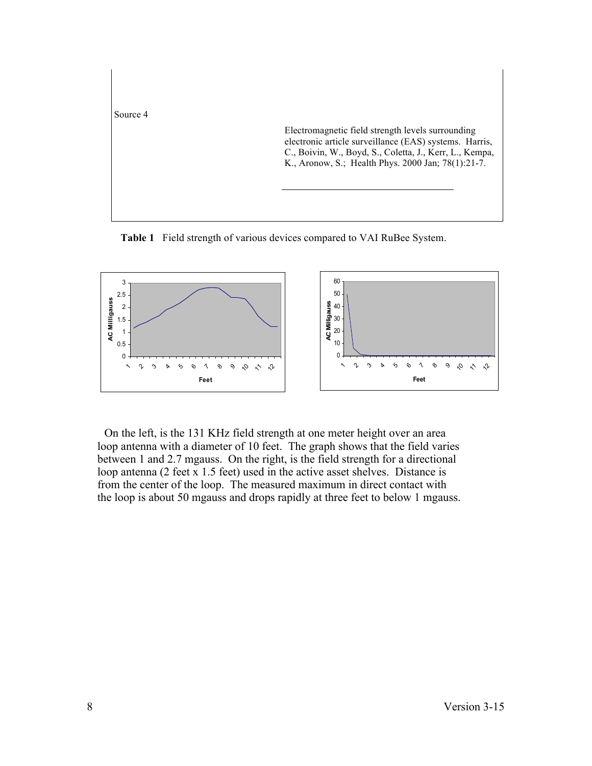

**Table 1** Field strength of various devices compared to VAI RuBee System.



On the left, is the 131 KHz field strength at one meter height over an area loop antenna with a diameter of 10 feet. The graph shows that the field varies between 1 and 2.7 mgauss. On the right, is the field strength for a directional loop antenna (2 feet x 1.5 feet) used in the active asset shelves. Distance is from the center of the loop. The measured maximum in direct contact with the loop is about 50 mgauss and drops rapidly at three feet to below 1 mgauss.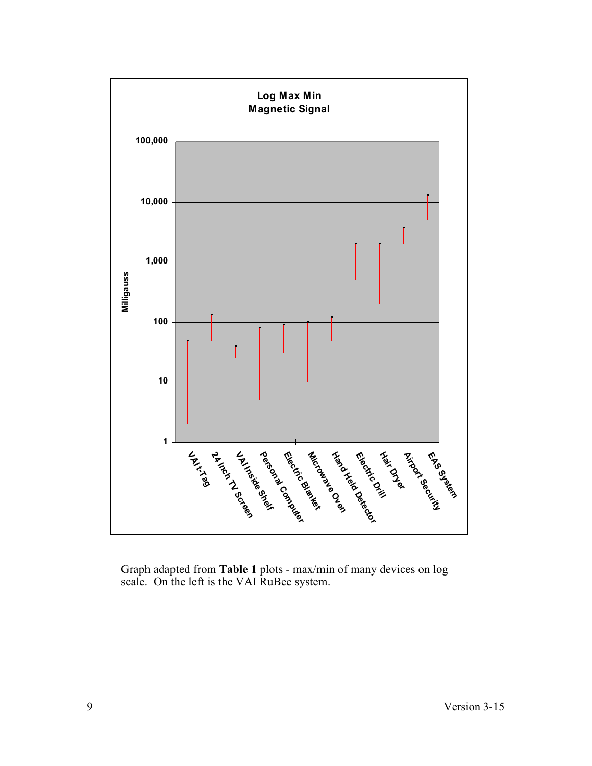

Graph adapted from **Table 1** plots - max/min of many devices on log scale. On the left is the VAI RuBee system.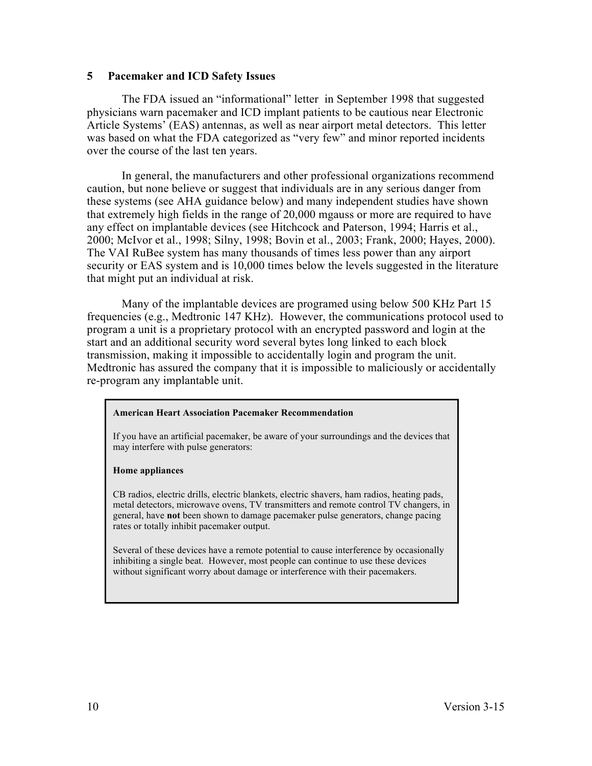### **5 Pacemaker and ICD Safety Issues**

The FDA issued an "informational" letter in September 1998 that suggested physicians warn pacemaker and ICD implant patients to be cautious near Electronic Article Systems' (EAS) antennas, as well as near airport metal detectors. This letter was based on what the FDA categorized as "very few" and minor reported incidents over the course of the last ten years.

In general, the manufacturers and other professional organizations recommend caution, but none believe or suggest that individuals are in any serious danger from these systems (see AHA guidance below) and many independent studies have shown that extremely high fields in the range of 20,000 mgauss or more are required to have any effect on implantable devices (see Hitchcock and Paterson, 1994; Harris et al., 2000; McIvor et al., 1998; Silny, 1998; Bovin et al., 2003; Frank, 2000; Hayes, 2000). The VAI RuBee system has many thousands of times less power than any airport security or EAS system and is 10,000 times below the levels suggested in the literature that might put an individual at risk.

Many of the implantable devices are programed using below 500 KHz Part 15 frequencies (e.g., Medtronic 147 KHz). However, the communications protocol used to program a unit is a proprietary protocol with an encrypted password and login at the start and an additional security word several bytes long linked to each block transmission, making it impossible to accidentally login and program the unit. Medtronic has assured the company that it is impossible to maliciously or accidentally re-program any implantable unit.

#### **American Heart Association Pacemaker Recommendation**

If you have an artificial pacemaker, be aware of your surroundings and the devices that may interfere with pulse generators:

#### **Home appliances**

CB radios, electric drills, electric blankets, electric shavers, ham radios, heating pads, metal detectors, microwave ovens, TV transmitters and remote control TV changers, in general, have **not** been shown to damage pacemaker pulse generators, change pacing rates or totally inhibit pacemaker output.

Several of these devices have a remote potential to cause interference by occasionally inhibiting a single beat. However, most people can continue to use these devices without significant worry about damage or interference with their pacemakers.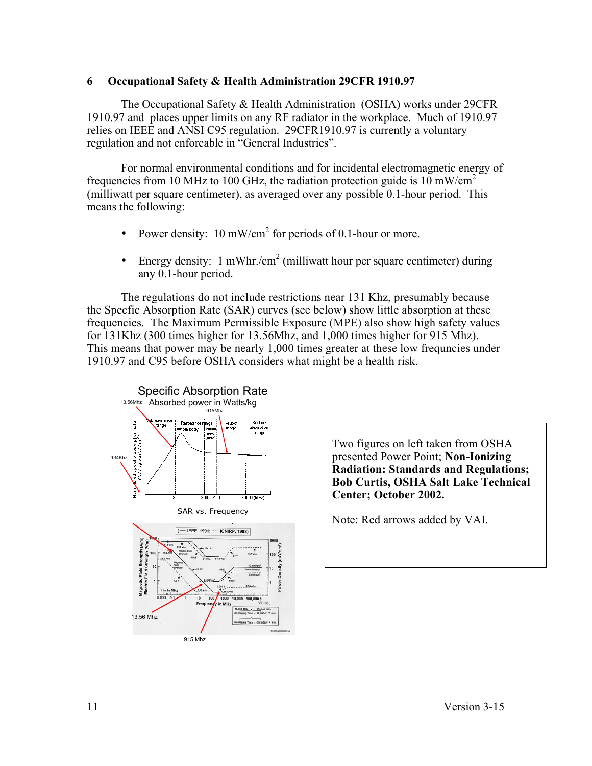# **6 Occupational Safety & Health Administration 29CFR 1910.97**

The Occupational Safety & Health Administration (OSHA) works under 29CFR 1910.97 and places upper limits on any RF radiator in the workplace. Much of 1910.97 relies on IEEE and ANSI C95 regulation. 29CFR1910.97 is currently a voluntary regulation and not enforcable in "General Industries".

For normal environmental conditions and for incidental electromagnetic energy of frequencies from 10 MHz to 100 GHz, the radiation protection guide is 10 mW/cm<sup>2</sup> (milliwatt per square centimeter), as averaged over any possible 0.1-hour period. This means the following:

- Power density: 10 mW/cm<sup>2</sup> for periods of 0.1-hour or more.
- Energy density: 1 mWhr./cm<sup>2</sup> (milliwatt hour per square centimeter) during any 0.1-hour period.

The regulations do not include restrictions near 131 Khz, presumably because the Specfic Absorption Rate (SAR) curves (see below) show little absorption at these frequencies. The Maximum Permissible Exposure (MPE) also show high safety values for 131Khz (300 times higher for 13.56Mhz, and 1,000 times higher for 915 Mhz). This means that power may be nearly 1,000 times greater at these low frequncies under 1910.97 and C95 before OSHA considers what might be a health risk.



Two figures on left taken from OSHA presented Power Point; **Non-Ionizing Radiation: Standards and Regulations; Bob Curtis, OSHA Salt Lake Technical Center; October 2002.**

Note: Red arrows added by VAI.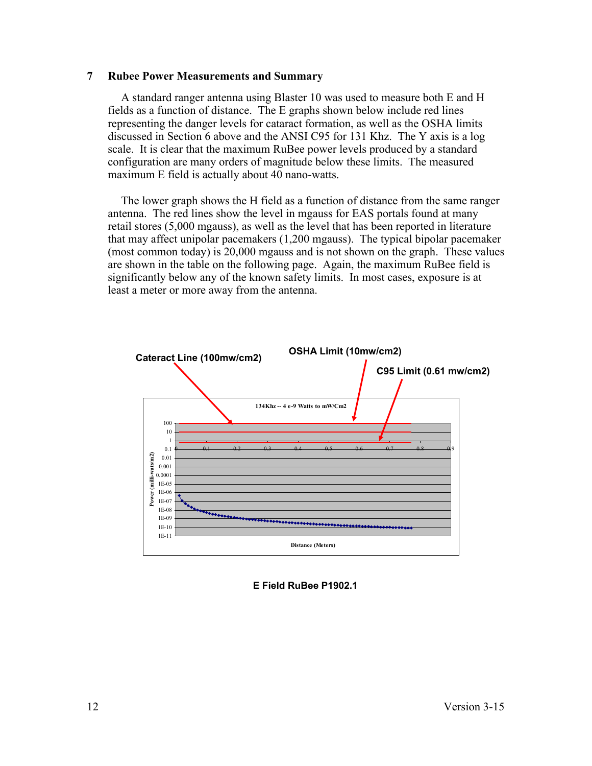### **7 Rubee Power Measurements and Summary**

A standard ranger antenna using Blaster 10 was used to measure both E and H fields as a function of distance. The E graphs shown below include red lines representing the danger levels for cataract formation, as well as the OSHA limits discussed in Section 6 above and the ANSI C95 for 131 Khz. The Y axis is a log scale. It is clear that the maximum RuBee power levels produced by a standard configuration are many orders of magnitude below these limits. The measured maximum E field is actually about 40 nano-watts.

The lower graph shows the H field as a function of distance from the same ranger antenna. The red lines show the level in mgauss for EAS portals found at many retail stores (5,000 mgauss), as well as the level that has been reported in literature that may affect unipolar pacemakers (1,200 mgauss). The typical bipolar pacemaker (most common today) is 20,000 mgauss and is not shown on the graph. These values are shown in the table on the following page. Again, the maximum RuBee field is significantly below any of the known safety limits. In most cases, exposure is at least a meter or more away from the antenna.



### **E Field RuBee P1902.1**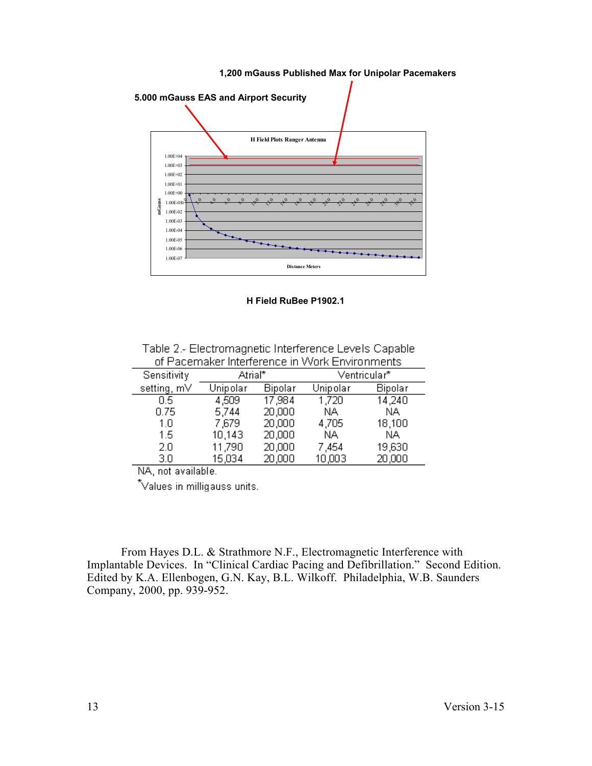

**H Field RuBee P1902.1**

Table 2.- Electromagnetic Interference Levels Capable of Pacemaker Interference in Work Environments

| Sensitivity | Atrial*  |         | Ventricular* |         |
|-------------|----------|---------|--------------|---------|
| setting, mV | Unipolar | Bipolar | Unipolar     | Bipolar |
| 0.5         | 4,509    | 17,984  | 1,720        | 14,240  |
| 0.75        | 5,744    | 20,000  | NA.          | NA.     |
| 1.0         | 7,679    | 20,000  | 4,705        | 18,100  |
| 1.5         | 10,143   | 20,000  | NA.          | ΝA      |
| 2.0         | 11,790   | 20,000  | 7,454        | 19,630  |
| 3.0         | 15,034   | 20,000  | 10,003       | 20,000  |

NA, not available.

\*Values in milligauss units.

From Hayes D.L. & Strathmore N.F., Electromagnetic Interference with Implantable Devices. In "Clinical Cardiac Pacing and Defibrillation." Second Edition. Edited by K.A. Ellenbogen, G.N. Kay, B.L. Wilkoff. Philadelphia, W.B. Saunders Company, 2000, pp. 939-952.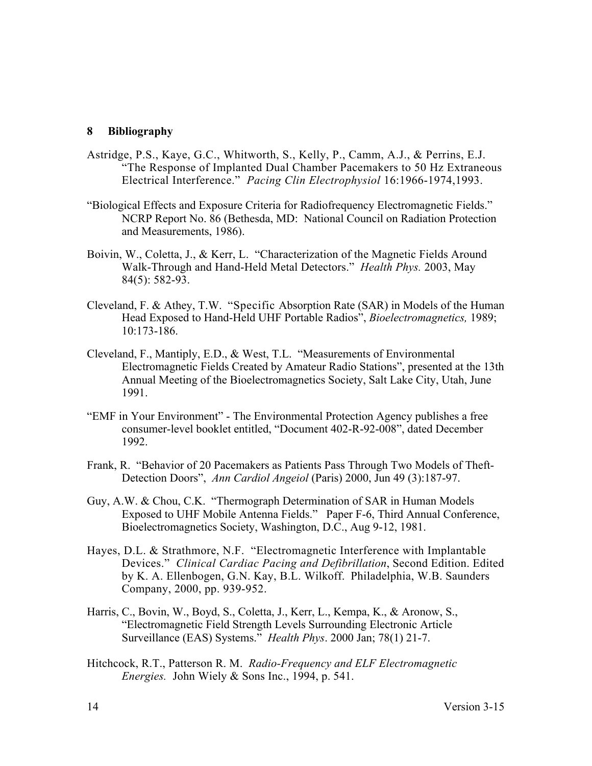# **8 Bibliography**

- Astridge, P.S., Kaye, G.C., Whitworth, S., Kelly, P., Camm, A.J., & Perrins, E.J. "The Response of Implanted Dual Chamber Pacemakers to 50 Hz Extraneous Electrical Interference." *Pacing Clin Electrophysiol* 16:1966-1974,1993.
- "Biological Effects and Exposure Criteria for Radiofrequency Electromagnetic Fields." NCRP Report No. 86 (Bethesda, MD: National Council on Radiation Protection and Measurements, 1986).
- Boivin, W., Coletta, J., & Kerr, L. "Characterization of the Magnetic Fields Around Walk-Through and Hand-Held Metal Detectors." *Health Phys.* 2003, May 84(5): 582-93.
- Cleveland, F. & Athey, T.W. "Specific Absorption Rate (SAR) in Models of the Human Head Exposed to Hand-Held UHF Portable Radios", *Bioelectromagnetics,* 1989; 10:173-186.
- Cleveland, F., Mantiply, E.D., & West, T.L. "Measurements of Environmental Electromagnetic Fields Created by Amateur Radio Stations", presented at the 13th Annual Meeting of the Bioelectromagnetics Society, Salt Lake City, Utah, June 1991.
- "EMF in Your Environment" The Environmental Protection Agency publishes a free consumer-level booklet entitled, "Document 402-R-92-008", dated December 1992.
- Frank, R. "Behavior of 20 Pacemakers as Patients Pass Through Two Models of Theft-Detection Doors", *Ann Cardiol Angeiol* (Paris) 2000, Jun 49 (3):187-97.
- Guy, A.W. & Chou, C.K. "Thermograph Determination of SAR in Human Models Exposed to UHF Mobile Antenna Fields." Paper F-6, Third Annual Conference, Bioelectromagnetics Society, Washington, D.C., Aug 9-12, 1981.
- Hayes, D.L. & Strathmore, N.F. "Electromagnetic Interference with Implantable Devices." *Clinical Cardiac Pacing and Defibrillation*, Second Edition. Edited by K. A. Ellenbogen, G.N. Kay, B.L. Wilkoff. Philadelphia, W.B. Saunders Company, 2000, pp. 939-952.
- Harris, C., Bovin, W., Boyd, S., Coletta, J., Kerr, L., Kempa, K., & Aronow, S., "Electromagnetic Field Strength Levels Surrounding Electronic Article Surveillance (EAS) Systems." *Health Phys*. 2000 Jan; 78(1) 21-7.
- Hitchcock, R.T., Patterson R. M. *Radio-Frequency and ELF Electromagnetic Energies.* John Wiely & Sons Inc., 1994, p. 541.